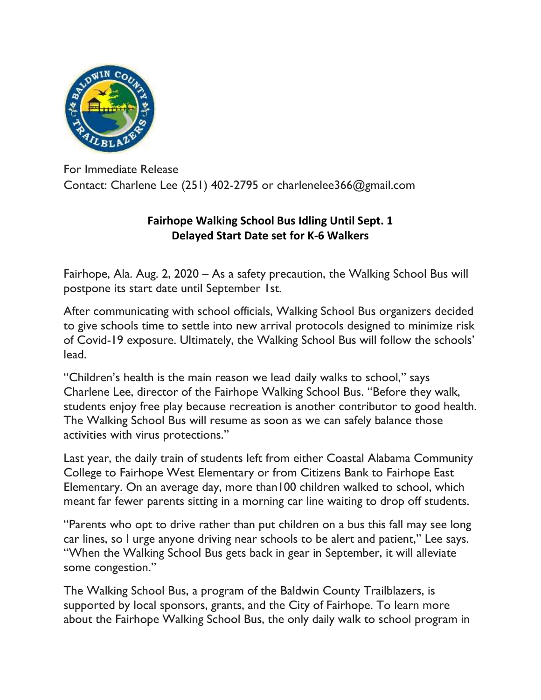

For Immediate Release Contact: Charlene Lee (251) 402-2795 or charlenelee366@gmail.com

## **Fairhope Walking School Bus Idling Until Sept. 1 Delayed Start Date set for K-6 Walkers**

Fairhope, Ala. Aug. 2, 2020 – As a safety precaution, the Walking School Bus will postpone its start date until September 1st.

After communicating with school officials, Walking School Bus organizers decided to give schools time to settle into new arrival protocols designed to minimize risk of Covid-19 exposure. Ultimately, the Walking School Bus will follow the schools' lead.

"Children's health is the main reason we lead daily walks to school," says Charlene Lee, director of the Fairhope Walking School Bus. "Before they walk, students enjoy free play because recreation is another contributor to good health. The Walking School Bus will resume as soon as we can safely balance those activities with virus protections."

Last year, the daily train of students left from either Coastal Alabama Community College to Fairhope West Elementary or from Citizens Bank to Fairhope East Elementary. On an average day, more than100 children walked to school, which meant far fewer parents sitting in a morning car line waiting to drop off students.

"Parents who opt to drive rather than put children on a bus this fall may see long car lines, so I urge anyone driving near schools to be alert and patient," Lee says. "When the Walking School Bus gets back in gear in September, it will alleviate some congestion."

The Walking School Bus, a program of the Baldwin County Trailblazers, is supported by local sponsors, grants, and the City of Fairhope. To learn more about the Fairhope Walking School Bus, the only daily walk to school program in